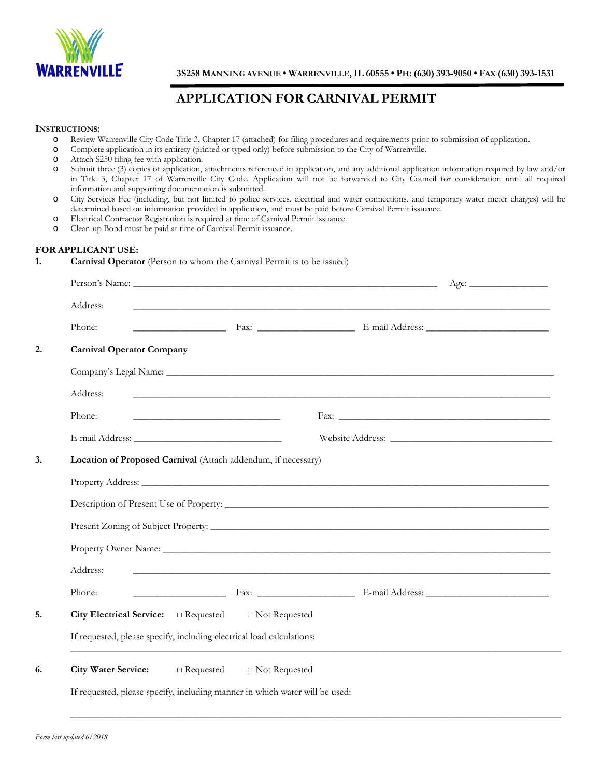

**3S258 MANNING AVENUE • WARRENVILLE,IL 60555 • PH: (630) 393-9050 • FAX (630) 393-1531** 

# **APPLICATION FOR CARNIVAL PERMIT**

#### **INSTRUCTIONS:**

- o Review Warrenville City Code Title 3, Chapter 17 (attached) for filing procedures and requirements prior to submission of application.
- o Complete application in its entirety (printed or typed only) before submission to the City of Warrenville.
- Attach \$250 filing fee with application.
- o Submit three (3) copies of application, attachments referenced in application, and any additional application information required by law and/or in Title 3, Chapter 17 of Warrenville City Code. Application will not be forwarded to City Council for consideration until all required information and supporting documentation is submitted.
- o City Services Fee (including, but not limited to police services, electrical and water connections, and temporary water meter charges) will be determined based on information provided in application, and must be paid before Carnival Permit issuance.
- o Electrical Contractor Registration is required at time of Carnival Permit issuance.
- o Clean-up Bond must be paid at time of Carnival Permit issuance.

### **FOR APPLICANT USE:**

#### **1. Carnival Operator** (Person to whom the Carnival Permit is to be issued)

|                                  |                                                                             |                                                                                                                                                                                                                                | Age: |
|----------------------------------|-----------------------------------------------------------------------------|--------------------------------------------------------------------------------------------------------------------------------------------------------------------------------------------------------------------------------|------|
| Address:                         |                                                                             |                                                                                                                                                                                                                                |      |
| Phone:                           |                                                                             | <b>Example 18 Fax:</b> <u>Fax: Elemail Address: Elemail Address:</u> <u>Elemail Address:</u> <u>Elemail Address:</u> <u>Elemail Address:</u>                                                                                   |      |
| <b>Carnival Operator Company</b> |                                                                             |                                                                                                                                                                                                                                |      |
|                                  |                                                                             |                                                                                                                                                                                                                                |      |
| Address:                         |                                                                             |                                                                                                                                                                                                                                |      |
| Phone:                           | <u> 2008 - John Stone, Amerikaans en Stone (</u>                            |                                                                                                                                                                                                                                |      |
|                                  |                                                                             |                                                                                                                                                                                                                                |      |
|                                  | Location of Proposed Carnival (Attach addendum, if necessary)               |                                                                                                                                                                                                                                |      |
|                                  |                                                                             |                                                                                                                                                                                                                                |      |
|                                  |                                                                             |                                                                                                                                                                                                                                |      |
|                                  |                                                                             |                                                                                                                                                                                                                                |      |
|                                  |                                                                             | Property Owner Name: University of the Contract of the Contract of the Contract of the Contract of the Contract of the Contract of the Contract of the Contract of the Contract of the Contract of the Contract of the Contrac |      |
| Address:                         |                                                                             | <u> 2008 - Jan Barat de Barat de la contrada de la contrada de la contrada de la contrada de la contrada de la c</u>                                                                                                           |      |
| Phone:                           |                                                                             |                                                                                                                                                                                                                                |      |
|                                  | City Electrical Service: $\Box$ Requested $\Box$ Not Requested              |                                                                                                                                                                                                                                |      |
|                                  | If requested, please specify, including electrical load calculations:       |                                                                                                                                                                                                                                |      |
|                                  | City Water Service: $\Box$ Requested $\Box$ Not Requested                   |                                                                                                                                                                                                                                |      |
|                                  |                                                                             |                                                                                                                                                                                                                                |      |
|                                  | If requested, please specify, including manner in which water will be used: |                                                                                                                                                                                                                                |      |

 $\_$  , and the set of the set of the set of the set of the set of the set of the set of the set of the set of the set of the set of the set of the set of the set of the set of the set of the set of the set of the set of th